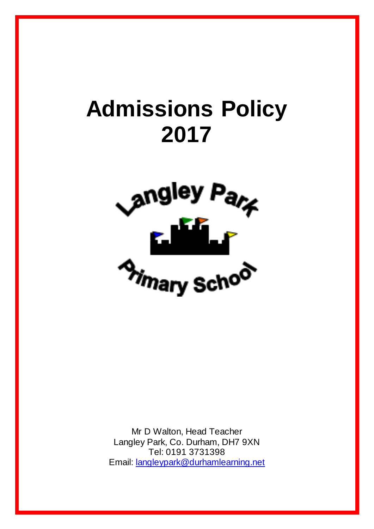# **Admissions Policy 2017**



Mr D Walton, Head Teacher Langley Park, Co. Durham, DH7 9XN Tel: 0191 3731398 Email: [langleypark@durhamlearning.net](mailto:langleypark@durhamlearning.net)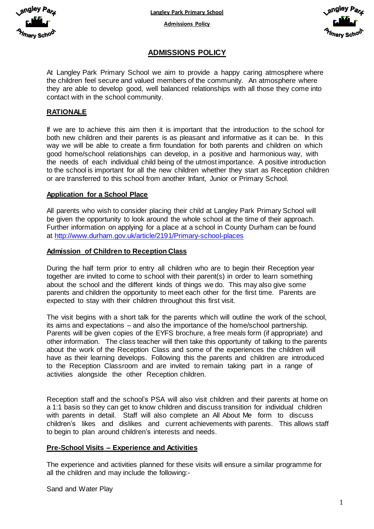

**Langley Park Primary School**

**Admissions Policy**



# **ADMISSIONS POLICY**

At Langley Park Primary School we aim to provide a happy caring atmosphere where the children feel secure and valued members of the community. An atmosphere where they are able to develop good, well balanced relationships with all those they come into contact with in the school community.

# **RATIONALE**

If we are to achieve this aim then it is important that the introduction to the school for both new children and their parents is as pleasant and informative as it can be. In this way we will be able to create a firm foundation for both parents and children on which good home/school relationships can develop, in a positive and harmonious way, with the needs of each individual child being of the utmost importance. A positive introduction to the school is important for all the new children whether they start as Reception children or are transferred to this school from another Infant, Junior or Primary School.

#### **Application for a School Place**

All parents who wish to consider placing their child at Langley Park Primary School will be given the opportunity to look around the whole school at the time of their approach. Further information on applying for a place at a school in County Durham can be found at<http://www.durham.gov.uk/article/2191/Primary-school-places>

#### **Admission of Children to Reception Class**

During the half term prior to entry all children who are to begin their Reception year together are invited to come to school with their parent(s) in order to learn something about the school and the different kinds of things we do. This may also give some parents and children the opportunity to meet each other for the first time. Parents are expected to stay with their children throughout this first visit.

The visit begins with a short talk for the parents which will outline the work of the school, its aims and expectations – and also the importance of the home/school partnership. Parents will be given copies of the EYFS brochure, a free meals form (if appropriate) and other information. The class teacher will then take this opportunity of talking to the parents about the work of the Reception Class and some of the experiences the children will have as their learning develops. Following this the parents and children are introduced to the Reception Classroom and are invited to remain taking part in a range of activities alongside the other Reception children.

Reception staff and the school's PSA will also visit children and their parents at home on a 1:1 basis so they can get to know children and discuss transition for individual children with parents in detail. Staff will also complete an All About Me form to discuss children's likes and dislikes and current achievements with parents. This allows staff to begin to plan around children's interests and needs.

#### **Pre-School Visits – Experience and Activities**

The experience and activities planned for these visits will ensure a similar programme for all the children and may include the following:-

Sand and Water Play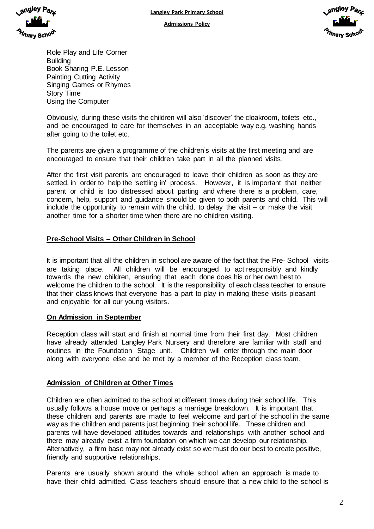

**Admissions Policy**



Role Play and Life Corner **Building** Book Sharing P.E. Lesson Painting Cutting Activity Singing Games or Rhymes Story Time Using the Computer

Obviously, during these visits the children will also 'discover' the cloakroom, toilets etc., and be encouraged to care for themselves in an acceptable way e.g. washing hands after going to the toilet etc.

The parents are given a programme of the children's visits at the first meeting and are encouraged to ensure that their children take part in all the planned visits.

After the first visit parents are encouraged to leave their children as soon as they are settled, in order to help the 'settling in' process. However, it is important that neither parent or child is too distressed about parting and where there is a problem, care, concern, help, support and guidance should be given to both parents and child. This will include the opportunity to remain with the child, to delay the visit – or make the visit another time for a shorter time when there are no children visiting.

## **Pre-School Visits – Other Children in School**

It is important that all the children in school are aware of the fact that the Pre- School visits are taking place. All children will be encouraged to act responsibly and kindly towards the new children, ensuring that each done does his or her own best to welcome the children to the school. It is the responsibility of each class teacher to ensure that their class knows that everyone has a part to play in making these visits pleasant and enjoyable for all our young visitors.

### **On Admission in September**

Reception class will start and finish at normal time from their first day. Most children have already attended Langley Park Nursery and therefore are familiar with staff and routines in the Foundation Stage unit. Children will enter through the main door along with everyone else and be met by a member of the Reception class team.

### **Admission of Children at Other Times**

Children are often admitted to the school at different times during their school life. This usually follows a house move or perhaps a marriage breakdown. It is important that these children and parents are made to feel welcome and part of the school in the same way as the children and parents just beginning their school life. These children and parents will have developed attitudes towards and relationships with another school and there may already exist a firm foundation on which we can develop our relationship. Alternatively, a firm base may not already exist so we must do our best to create positive, friendly and supportive relationships.

Parents are usually shown around the whole school when an approach is made to have their child admitted. Class teachers should ensure that a new child to the school is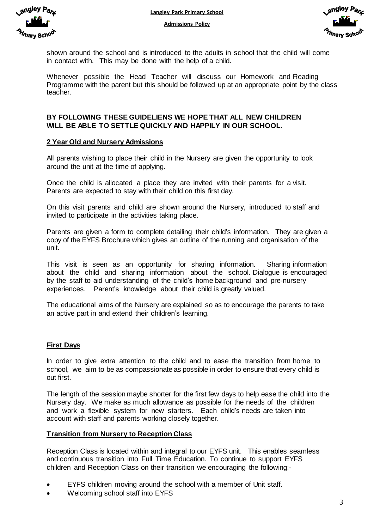<sub>\</sub>ngley /

shown around the school and is introduced to the adults in school that the child will come in contact with. This may be done with the help of a child.

Whenever possible the Head Teacher will discuss our Homework and Reading Programme with the parent but this should be followed up at an appropriate point by the class teacher.

## **BY FOLLOWING THESE GUIDELIENS WE HOPE THAT ALL NEW CHILDREN WILL BE ABLE TO SETTLE QUICKLY AND HAPPILY IN OUR SCHOOL.**

### **2 Year Old and Nursery Admissions**

All parents wishing to place their child in the Nursery are given the opportunity to look around the unit at the time of applying.

Once the child is allocated a place they are invited with their parents for a visit. Parents are expected to stay with their child on this first day.

On this visit parents and child are shown around the Nursery, introduced to staff and invited to participate in the activities taking place.

Parents are given a form to complete detailing their child's information. They are given a copy of the EYFS Brochure which gives an outline of the running and organisation of the unit.

This visit is seen as an opportunity for sharing information. Sharing information about the child and sharing information about the school. Dialogue is encouraged by the staff to aid understanding of the child's home background and pre-nursery experiences. Parent's knowledge about their child is greatly valued.

The educational aims of the Nursery are explained so as to encourage the parents to take an active part in and extend their children's learning.

### **First Days**

In order to give extra attention to the child and to ease the transition from home to school, we aim to be as compassionate as possible in order to ensure that every child is out first.

The length of the session maybe shorter for the first few days to help ease the child into the Nursery day. We make as much allowance as possible for the needs of the children and work a flexible system for new starters. Each child's needs are taken into account with staff and parents working closely together.

### **Transition from Nursery to Reception Class**

Reception Class is located within and integral to our EYFS unit. This enables seamless and continuous transition into Full Time Education. To continue to support EYFS children and Reception Class on their transition we encouraging the following:-

- EYFS children moving around the school with a member of Unit staff.
- Welcoming school staff into EYFS